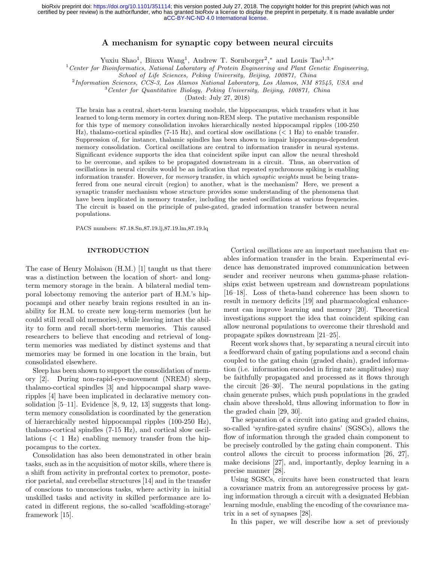[aCC-BY-NC-ND 4.0 International license.](http://creativecommons.org/licenses/by-nc-nd/4.0/) certified by peer review) is the author/funder, who has granted bioRxiv a license to display the preprint in perpetuity. It is made available under bioRxiv preprint doi: [https://doi.org/10.1101/351114;](https://doi.org/10.1101/351114) this version posted July 27, 2018. The copyright holder for this preprint (which was not

# A mechanism for synaptic copy between neural circuits

Yuxiu Shao<sup>1</sup>, Binxu Wang<sup>1</sup>, Andrew T. Sornborger<sup>2</sup>,<sup>\*</sup> and Louis Tao<sup>1,3,\*</sup>

 $1$ <sup>1</sup> Center for Bioinformatics, National Laboratory of Protein Engineering and Plant Genetic Engineering,

<sup>2</sup>Information Sciences, CCS-3, Los Alamos National Laboratory, Los Alamos, NM 87545, USA and

<sup>3</sup> Center for Quantitative Biology, Peking University, Beijing, 100871, China

(Dated: July 27, 2018)

The brain has a central, short-term learning module, the hippocampus, which transfers what it has learned to long-term memory in cortex during non-REM sleep. The putative mechanism responsible for this type of memory consolidation invokes hierarchically nested hippocampal ripples (100-250 Hz), thalamo-cortical spindles  $(7-15 \text{ Hz})$ , and cortical slow oscillations  $(< 1 \text{ Hz})$  to enable transfer. Suppression of, for instance, thalamic spindles has been shown to impair hippocampus-dependent memory consolidation. Cortical oscillations are central to information transfer in neural systems. Significant evidence supports the idea that coincident spike input can allow the neural threshold to be overcome, and spikes to be propagated downstream in a circuit. Thus, an observation of oscillations in neural circuits would be an indication that repeated synchronous spiking is enabling information transfer. However, for memory transfer, in which synaptic weights must be being transferred from one neural circuit (region) to another, what is the mechanism? Here, we present a synaptic transfer mechanism whose structure provides some understanding of the phenomena that have been implicated in memory transfer, including the nested oscillations at various frequencies. The circuit is based on the principle of pulse-gated, graded information transfer between neural populations.

PACS numbers: 87.18.Sn,87.19.lj,87.19.lm,87.19.lq

## INTRODUCTION

The case of Henry Molaison (H.M.) [1] taught us that there was a distinction between the location of short- and longterm memory storage in the brain. A bilateral medial temporal lobectomy removing the anterior part of H.M.'s hippocampi and other nearby brain regions resulted in an inability for H.M. to create new long-term memories (but he could still recall old memories), while leaving intact the ability to form and recall short-term memories. This caused researchers to believe that encoding and retrieval of longterm memories was mediated by distinct systems and that memories may be formed in one location in the brain, but consolidated elsewhere.

Sleep has been shown to support the consolidation of memory [2]. During non-rapid-eye-movement (NREM) sleep, thalamo-cortical spindles [3] and hippocampal sharp waveripples [4] have been implicated in declarative memory consolidation  $[5-11]$ . Evidence  $[8, 9, 12, 13]$  suggests that longterm memory consolidation is coordinated by the generation of hierarchically nested hippocampal ripples (100-250 Hz), thalamo-cortical spindles (7-15 Hz), and cortical slow oscillations  $(< 1$  Hz) enabling memory transfer from the hippocampus to the cortex.

Consolidation has also been demonstrated in other brain tasks, such as in the acquisition of motor skills, where there is a shift from activity in prefrontal cortex to premotor, posterior parietal, and cerebellar structures [14] and in the transfer of conscious to unconscious tasks, where activity in initial unskilled tasks and activity in skilled performance are located in different regions, the so-called 'scaffolding-storage' framework [15].

Cortical oscillations are an important mechanism that enables information transfer in the brain. Experimental evidence has demonstrated improved communication between sender and receiver neurons when gamma-phase relationships exist between upstream and downstream populations [16–18]. Loss of theta-band coherence has been shown to result in memory deficits [19] and pharmacological enhancement can improve learning and memory [20]. Theoretical investigations support the idea that coincident spiking can allow neuronal populations to overcome their threshold and propagate spikes downstream [21–25].

Recent work shows that, by separating a neural circuit into a feedforward chain of gating populations and a second chain coupled to the gating chain (graded chain), graded information (i.e. information encoded in firing rate amplitudes) may be faithfully propagated and processed as it flows through the circuit [26–30]. The neural populations in the gating chain generate pulses, which push populations in the graded chain above threshold, thus allowing information to flow in the graded chain [29, 30].

The separation of a circuit into gating and graded chains, so-called 'synfire-gated synfire chains' (SGSCs), allows the flow of information through the graded chain component to be precisely controlled by the gating chain component. This control allows the circuit to process information [26, 27], make decisions [27], and, importantly, deploy learning in a precise manner [28].

Using SGSCs, circuits have been constructed that learn a covariance matrix from an autoregressive process by gating information through a circuit with a designated Hebbian learning module, enabling the encoding of the covariance matrix in a set of synapses [28].

In this paper, we will describe how a set of previously

School of Life Sciences, Peking University, Beijing, 100871, China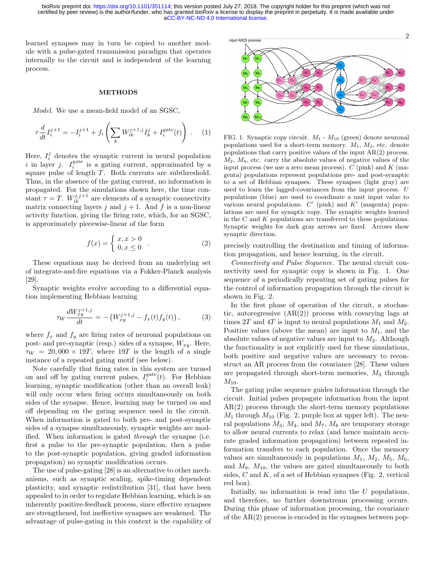[aCC-BY-NC-ND 4.0 International license.](http://creativecommons.org/licenses/by-nc-nd/4.0/) certified by peer review) is the author/funder, who has granted bioRxiv a license to display the preprint in perpetuity. It is made available under bioRxiv preprint doi: [https://doi.org/10.1101/351114;](https://doi.org/10.1101/351114) this version posted July 27, 2018. The copyright holder for this preprint (which was not

learned synapses may in turn be copied to another module with a pulse-gated transmission paradigm that operates internally to the circuit and is independent of the learning process.

## **METHODS**

Model. We use a mean-field model of an SGSC,

$$
\tau \frac{d}{dt} I_i^{j+1} = -I_i^{j+1} + f_i \left( \sum_k W_{ik}^{j+1,j} I_k^j + I_i^{\text{gate}}(t) \right) . \tag{1}
$$

Here,  $I_i^j$  denotes the synaptic current in neural population i in layer j.  $I_i^{\text{gate}}$  is a gating current, approximated by a square pulse of length T. Both currents are subthreshold. Thus, in the absence of the gating current, no information is propagated. For the simulations shown here, the time constant  $\tau = T$ .  $W_{ik}^{j,j+1}$  are elements of a synaptic connectivity matrix connecting layers j and  $j + 1$ . And f is a non-linear activity function, giving the firing rate, which, for an SGSC, is approximately piecewise-linear of the form

$$
f(x) = \begin{cases} x, x > 0 \\ 0, x \le 0 \end{cases} . \tag{2}
$$

These equations may be derived from an underlying set of integrate-and-fire equations via a Fokker-Planck analysis [29].

Synaptic weights evolve according to a differential equation implementing Hebbian learning

$$
\tau_W \frac{dW_{xy}^{j+1,j}}{dt} = -\left(W_{xy}^{j+1,j} - f_x(t)f_y(t)\right),\tag{3}
$$

where  $f_x$  and  $f_y$  are firing rates of neuronal populations on post- and pre-synaptic (resp.) sides of a synapse,  $W_{xy}$ . Here,  $\tau_W = 20,000 \times 19T$ , where 19T is the length of a single instance of a repeated gating motif (see below).

Note carefully that firing rates in this system are turned on and off by gating current pulses,  $I_i^{\text{gate}}(t)$ . For Hebbian learning, synaptic modification (other than an overall leak) will only occur when firing occurs simultaneously on both sides of the synapse. Hence, learning may be turned on and off depending on the gating sequence used in the circuit. When information is gated to both pre- and post-synaptic sides of a synapse simultaneously, synaptic weights are modified. When information is gated through the synapse (i.e. first a pulse to the pre-synaptic population, then a pulse to the post-synaptic population, giving graded information propagation) no synaptic modification occurs.

The use of pulse-gating [28] is an alternative to other mechanisms, such as synaptic scaling, spike-timing dependent plasticity, and synaptic redistribution [31], that have been appealed to in order to regulate Hebbian learning, which is an inherently positive-feedback process, since effective synapses are strengthened, but ineffective synapses are weakened. The advantage of pulse-gating in this context is the capability of



FIG. 1. Synaptic copy circuit.  $M_1$  -  $M_{10}$  (green) denote neuronal populations used for a short-term memory.  $M_1$ ,  $M_3$ , etc. denote populations that carry positive values of the input AR(2) process.  $M_2$ ,  $M_4$ , etc. carry the absolute values of negative values of the input process (we use a zero mean process).  $C$  (pink) and  $K$  (magenta) populations represent populations pre- and post-synaptic to a set of Hebbian synapses. These synapses (light gray) are used to learn the lagged-covariances from the input process. U populations (blue) are used to coordinate a unit input value to various neural populations.  $C'$  (pink) and  $K'$  (magenta) populations are used for synaptic copy. The synaptic weights learned in the  $C$  and  $K$  populations are transferred to these populations. Synaptic weights for dark gray arrows are fixed. Arrows show synaptic direction.

precisely controlling the destination and timing of information propagation, and hence learning, in the circuit.

Connectivity and Pulse Sequence. The neural circuit connectivity used for synaptic copy is shown in Fig. 1. One sequence of a periodically repeating set of gating pulses for the control of information propagation through the circuit is shown in Fig. 2.

In the first phase of operation of the circuit, a stochastic, autoregressive  $(AR(2))$  process with covarying lags at times 2T and 4T is input to neural populations  $M_1$  and  $M_2$ . Positive values (above the mean) are input to  $M_1$ , and the absolute values of negative values are input to  $M_2$ . Although the functionality is not explicitly used for these simulations, both positive and negative values are necessary to reconstruct an AR process from the covariance [28]. These values are propagated through short-term memories,  $M_3$  through  $M_{10}$ .

The gating pulse sequence guides information through the circuit. Initial pulses propagate information from the input AR(2) process through the short-term memory populations  $M_1$  through  $M_{10}$  (Fig. 2, purple box at upper left). The neural populations  $M_3$ ,  $M_4$ , and  $M_7$ ,  $M_8$  are temporary storage to allow neural currents to relax (and hence maintain accurate graded information propagation) between repeated information transfers to each population. Once the memory values are simultaneously in populations  $M_1$ ,  $M_2$ ,  $M_5$ ,  $M_6$ , and  $M_9$ ,  $M_{10}$ , the values are gated simultaneously to both sides,  $C$  and  $K$ , of a set of Hebbian synapses (Fig. 2, vertical red box).

Initially, no information is read into the  $U$  populations, and therefore, no further downstream processing occurs. During this phase of information processing, the covariance of the AR(2) process is encoded in the synapses between pop-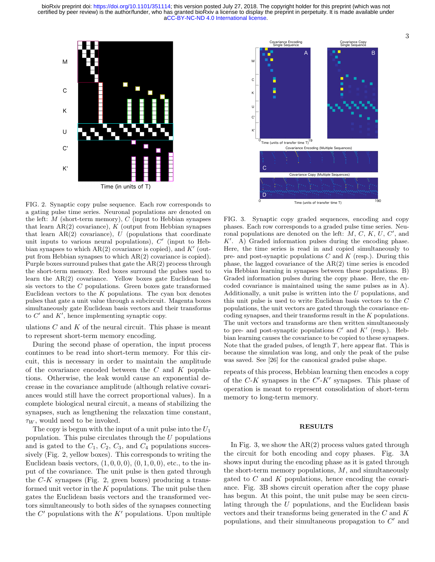

FIG. 2. Synaptic copy pulse sequence. Each row corresponds to a gating pulse time series. Neuronal populations are denoted on the left:  $M$  (short-term memory),  $C$  (input to Hebbian synapses that learn  $AR(2)$  covariance), K (output from Hebbian synapses that learn  $AR(2)$  covariance), U (populations that coordinate unit inputs to various neural populations),  $C'$  (input to Hebbian synapses to which  $AR(2)$  covariance is copied), and  $K'$  (output from Hebbian synapses to which AR(2) covariance is copied). Purple boxes surround pulses that gate the AR(2) process through the short-term memory. Red boxes surround the pulses used to learn the AR(2) covariance. Yellow boxes gate Euclidean basis vectors to the C populations. Green boxes gate transformed Euclidean vectors to the  $K$  populations. The cyan box denotes pulses that gate a unit value through a subcircuit. Magenta boxes simultaneously gate Euclidean basis vectors and their transforms to  $C'$  and  $K'$ , hence implementing synaptic copy.

ulations  $C$  and  $K$  of the neural circuit. This phase is meant to represent short-term memory encoding.

During the second phase of operation, the input process continues to be read into short-term memory. For this circuit, this is necessary in order to maintain the amplitude of the covariance encoded between the  $C$  and  $K$  populations. Otherwise, the leak would cause an exponential decrease in the covariance amplitude (although relative covariances would still have the correct proportional values). In a complete biological neural circuit, a means of stabilizing the synapses, such as lengthening the relaxation time constant,  $\tau_W$ , would need to be invoked.

The copy is begun with the input of a unit pulse into the  $U_1$ population. This pulse circulates through the  $U$  populations and is gated to the  $C_1$ ,  $C_2$ ,  $C_3$ , and  $C_4$  populations successively (Fig. 2, yellow boxes). This corresponds to writing the Euclidean basis vectors,  $(1, 0, 0, 0)$ ,  $(0, 1, 0, 0)$ , etc., to the input of the covariance. The unit pulse is then gated through the  $C-K$  synapses (Fig. 2, green boxes) producing a transformed unit vector in the  $K$  populations. The unit pulse then gates the Euclidean basis vectors and the transformed vectors simultaneously to both sides of the synapses connecting the  $C'$  populations with the  $K'$  populations. Upon multiple



FIG. 3. Synaptic copy graded sequences, encoding and copy phases. Each row corresponds to a graded pulse time series. Neuronal populations are denoted on the left:  $M, C, K, U, C'$ , and  $K'$ . A) Graded information pulses during the encoding phase. Here, the time series is read in and copied simultaneously to pre- and post-synaptic populations  $C$  and  $K$  (resp.). During this phase, the lagged covariance of the AR(2) time series is encoded via Hebbian learning in synapses between these populations. B) Graded information pulses during the copy phase. Here, the encoded covariance is maintained using the same pulses as in A). Additionally, a unit pulse is written into the U populations, and this unit pulse is used to write Euclidean basis vectors to the C populations, the unit vectors are gated through the covariance encoding synapses, and their transforms result in the K populations. The unit vectors and transforms are then written simultaneously to pre- and post-synaptic populations  $C'$  and  $K'$  (resp.). Hebbian learning causes the covariance to be copied to these synapses. Note that the graded pulses, of length  $T$ , here appear flat. This is because the simulation was long, and only the peak of the pulse was saved. See [26] for the canonical graded pulse shape.

repeats of this process, Hebbian learning then encodes a copy of the  $C-K$  synapses in the  $C'-K'$  synapses. This phase of operation is meant to represent consolidation of short-term memory to long-term memory.

#### RESULTS

In Fig. 3, we show the  $AR(2)$  process values gated through the circuit for both encoding and copy phases. Fig. 3A shows input during the encoding phase as it is gated through the short-term memory populations,  $M$ , and simultaneously gated to  $C$  and  $K$  populations, hence encoding the covariance. Fig. 3B shows circuit operation after the copy phase has begun. At this point, the unit pulse may be seen circulating through the U populations, and the Euclidean basis vectors and their transforms being generated in the C and K populations, and their simultaneous propagation to  $C'$  and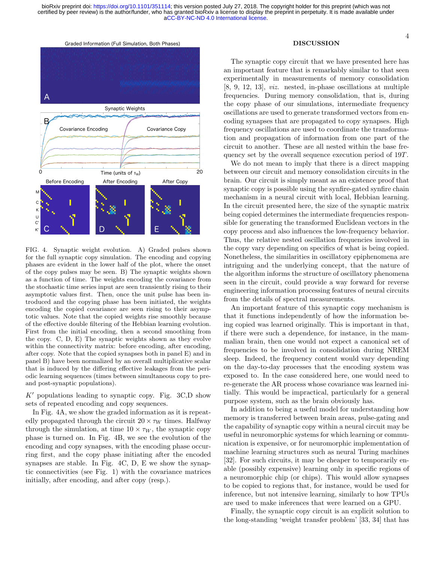

FIG. 4. Synaptic weight evolution. A) Graded pulses shown for the full synaptic copy simulation. The encoding and copying phases are evident in the lower half of the plot, where the onset of the copy pulses may be seen. B) The synaptic weights shown as a function of time. The weights encoding the covariance from the stochastic time series input are seen transiently rising to their asymptotic values first. Then, once the unit pulse has been introduced and the copying phase has been initiated, the weights encoding the copied covariance are seen rising to their asymptotic values. Note that the copied weights rise smoothly because of the effective double filtering of the Hebbian learning evolution. First from the initial encoding, then a second smoothing from the copy. C, D, E) The synaptic weights shown as they evolve within the connectivity matrix: before encoding, after encoding, after copy. Note that the copied synapses both in panel E) and in panel B) have been normalized by an overall multiplicative scalar that is induced by the differing effective leakages from the periodic learning sequences (times between simultaneous copy to preand post-synaptic populations).

 $K'$  populations leading to synaptic copy. Fig. 3C,D show sets of repeated encoding and copy sequences.

In Fig. 4A, we show the graded information as it is repeatedly propagated through the circuit  $20 \times \tau_W$  times. Halfway through the simulation, at time  $10 \times \tau_W$ , the synaptic copy phase is turned on. In Fig. 4B, we see the evolution of the encoding and copy synapses, with the encoding phase occurring first, and the copy phase initiating after the encoded synapses are stable. In Fig. 4C, D, E we show the synaptic connectivities (see Fig. 1) with the covariance matrices initially, after encoding, and after copy (resp.).

## DISCUSSION

The synaptic copy circuit that we have presented here has an important feature that is remarkably similar to that seen experimentally in measurements of memory consolidation [8, 9, 12, 13], viz. nested, in-phase oscillations at multiple frequencies. During memory consolidation, that is, during the copy phase of our simulations, intermediate frequency oscillations are used to generate transformed vectors from encoding synapses that are propagated to copy synapses. High frequency oscillations are used to coordinate the transformation and propagation of information from one part of the circuit to another. These are all nested within the base frequency set by the overall sequence execution period of 19T.

We do not mean to imply that there is a direct mapping between our circuit and memory consolidation circuits in the brain. Our circuit is simply meant as an existence proof that synaptic copy is possible using the synfire-gated synfire chain mechanism in a neural circuit with local, Hebbian learning. In the circuit presented here, the size of the synaptic matrix being copied determines the intermediate frequencies responsible for generating the transformed Euclidean vectors in the copy process and also influences the low-frequency behavior. Thus, the relative nested oscillation frequencies involved in the copy vary depending on specifics of what is being copied. Nonetheless, the similarities in oscillatory epiphenomena are intriguing and the underlying concept, that the nature of the algorithm informs the structure of oscillatory phenomena seen in the circuit, could provide a way forward for reverse engineering information processing features of neural circuits from the details of spectral measurements.

An important feature of this synaptic copy mechanism is that it functions independently of how the information being copied was learned originally. This is important in that, if there were such a dependence, for instance, in the mammalian brain, then one would not expect a canonical set of frequencies to be involved in consolidation during NREM sleep. Indeed, the frequency content would vary depending on the day-to-day processes that the encoding system was exposed to. In the case considered here, one would need to re-generate the AR process whose covariance was learned initially. This would be impractical, particularly for a general purpose system, such as the brain obviously has.

In addition to being a useful model for understanding how memory is transferred between brain areas, pulse-gating and the capability of synaptic copy within a neural circuit may be useful in neuromorphic systems for which learning or communication is expensive, or for neuromorphic implementation of machine learning structures such as neural Turing machines [32]. For such circuits, it may be cheaper to temporarily enable (possibly expensive) learning only in specific regions of a neuromorphic chip (or chips). This would allow synapses to be copied to regions that, for instance, would be used for inference, but not intensive learning, similarly to how TPUs are used to make inferences that were learned on a GPU.

Finally, the synaptic copy circuit is an explicit solution to the long-standing 'weight transfer problem' [33, 34] that has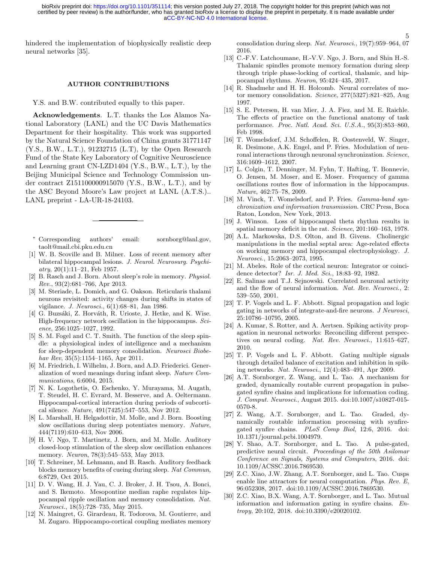[aCC-BY-NC-ND 4.0 International license.](http://creativecommons.org/licenses/by-nc-nd/4.0/) certified by peer review) is the author/funder, who has granted bioRxiv a license to display the preprint in perpetuity. It is made available under bioRxiv preprint doi: [https://doi.org/10.1101/351114;](https://doi.org/10.1101/351114) this version posted July 27, 2018. The copyright holder for this preprint (which was not

hindered the implementation of biophysically realistic deep neural networks [35].

### AUTHOR CONTRIBUTIONS

Y.S. and B.W. contributed equally to this paper.

Acknowledgements. L.T. thanks the Los Alamos National Laboratory (LANL) and the UC Davis Mathematics Department for their hospitality. This work was supported by the Natural Science Foundation of China grants 31771147 (Y.S., B.W., L.T.), 91232715 (L.T), by the Open Research Fund of the State Key Laboratory of Cognitive Neuroscience and Learning grant CN-LZD1404 (Y.S., B.W., L.T.), by the Beijing Municipal Science and Technology Commission under contract Z151100000915070 (Y.S., B.W., L.T.), and by the ASC Beyond Moore's Law project at LANL (A.T.S.).. LANL preprint - LA-UR-18-24103.

- Corresponding authors' email: sornborg@lanl.gov, taolt@mail.cbi.pku.edu.cn
- [1] W. B. Scoville and B. Milner. Loss of recent memory after bilateral hippocampal lesions. J. Neurol. Neurosurg. Psychi $atry, 20(1):11-21, Feb 1957.$
- [2] B. Rasch and J. Born. About sleep's role in memory. Physiol. Rev., 93(2):681–766, Apr 2013.
- [3] M. Steriade, L. Domich, and G. Oakson. Reticularis thalami neurons revisited: activity changes during shifts in states of vigilance. J. Neurosci., 6(1):68–81, Jan 1986.
- [4] G. Buzsáki, Z. Horváth, R. Urioste, J. Hetke, and K. Wise. High-frequency network oscillation in the hippocampus. Science, 256:1025–1027, 1992.
- [5] S. M. Fogel and C. T. Smith. The function of the sleep spindle: a physiological index of intelligence and a mechanism for sleep-dependent memory consolidation. Neurosci Biobehav Rev, 35(5):1154–1165, Apr 2011.
- [6] M. Friedrich, I. Wilhelm, J. Born, and A.D. Friederici. Generalization of word meanings during infant sleep. Nature Communications, 6:6004, 2015.
- [7] N. K. Logothetis, O. Eschenko, Y. Murayama, M. Augath, T. Steudel, H. C. Evrard, M. Besserve, and A. Oeltermann. Hippocampal-cortical interaction during periods of subcortical silence. Nature, 491(7425):547–553, Nov 2012.
- [8] L. Marshall, H. Helgadottir, M. Molle, and J. Born. Boosting slow oscillations during sleep potentiates memory. Nature, 444(7119):610–613, Nov 2006.
- [9] H. V. Ngo, T. Martinetz, J. Born, and M. Molle. Auditory closed-loop stimulation of the sleep slow oscillation enhances memory. *Neuron*, 78(3):545–553, May 2013.
- [10] T. Schreiner, M. Lehmann, and B. Rasch. Auditory feedback blocks memory benefits of cueing during sleep. Nat Commun, 6:8729, Oct 2015.
- [11] D. V. Wang, H. J. Yau, C. J. Broker, J. H. Tsou, A. Bonci, and S. Ikemoto. Mesopontine median raphe regulates hippocampal ripple oscillation and memory consolidation. Nat. Neurosci., 18(5):728–735, May 2015.
- [12] N. Maingret, G. Girardeau, R. Todorova, M. Goutierre, and M. Zugaro. Hippocampo-cortical coupling mediates memory

consolidation during sleep. Nat. Neurosci., 19(7):959–964, 07 2016.

5

- [13] C.-F.V. Latchoumane, H.-V.V. Ngo, J. Born, and Shin H.-S. Thalamic spindles promote memory formation during sleep through triple phase-locking of cortical, thalamic, and hippocampal rhythms. Neuron, 95:424–435, 2017.
- [14] R. Shadmehr and H. H. Holcomb. Neural correlates of motor memory consolidation. Science, 277(5327):821–825, Aug 1997.
- [15] S. E. Petersen, H. van Mier, J. A. Fiez, and M. E. Raichle. The effects of practice on the functional anatomy of task performance. Proc. Natl. Acad. Sci. U.S.A., 95(3):853–860, Feb 1998.
- [16] T. Womelsdorf, J.M. Schoffelen, R. Oostenveld, W. Singer, R. Desimone, A.K. Engel, and P. Fries. Modulation of neuronal interactions through neuronal synchronization. Science, 316:1609–1612, 2007.
- [17] L. Colgin, T. Denninger, M. Fyhn, T. Hafting, T. Bonnevie, O. Jensen, M. Moser, and E. Moser. Frequency of gamma oscillations routes flow of information in the hippocampus. Nature, 462:75–78, 2009.
- [18] M. Vinck, T. Womelsdorf, and P. Fries. Gamma-band synchronization and information transmission. CRC Press, Boca Raton, London, New York, 2013.
- [19] J. Winson. Loss of hippocampal theta rhythm results in spatial memory deficit in the rat. Science, 201:160-163, 1978.
- [20] A.L. Markowska, D.S. Olton, and B. Givens. Cholinergic manipulations in the medial septal area: Age-related effects on working memory and hippocampal electrophysiology. J. Neurosci., 15:2063–2073, 1995.
- [21] M. Abeles. Role of the cortical neuron: Integrator or coincidence detector? Isr. J. Med. Sci., 18:83–92, 1982.
- [22] E. Salinas and T.J. Sejnowski. Correlated neuronal activity and the flow of neural information. Nat. Rev. Neurosci., 2: 539–550, 2001.
- [23] T. P. Vogels and L. F. Abbott. Signal propagation and logic gating in networks of integrate-and-fire neurons. J Neurosci, 25:10786–10795, 2005.
- [24] A. Kumar, S. Rotter, and A. Aertsen. Spiking activity propagation in neuronal networks: Reconciling different perspectives on neural coding. Nat. Rev. Neurosci., 11:615–627, 2010.
- [25] T. P. Vogels and L. F. Abbott. Gating multiple signals through detailed balance of excitation and inhibition in spiking networks. Nat. Neurosci., 12(4):483–491, Apr 2009.
- [26] A.T. Sornborger, Z. Wang, and L. Tao. A mechanism for graded, dynamically routable current propagation in pulsegated synfire chains and implications for information coding. J. Comput. Neurosci., August 2015. doi:10.1007/s10827-015- 0570-8.
- [27] Z. Wang, A.T. Sornborger, and L. Tao. Graded, dynamically routable information processing with synfiregated synfire chains. PLoS Comp Biol, 12:6, 2016. doi: 10.1371/journal.pcbi.1004979.
- [28] Y. Shao, A.T. Sornborger, and L. Tao. A pulse-gated, predictive neural circuit. Proceedings of the 50th Asilomar Conference on Signals, Systems and Computers, 2016. doi: 10.1109/ACSSC.2016.7869530.
- [29] Z.C. Xiao, J.W. Zhang, A.T. Sornborger, and L. Tao. Cusps enable line attractors for neural computation. Phys. Rev. E, 96:052308, 2017. doi:10.1109/ACSSC.2016.7869530.
- [30] Z.C. Xiao, B.X. Wang, A.T. Sornborger, and L. Tao. Mutual information and information gating in synfire chains. Entropy, 20:102, 2018. doi:10.3390/e20020102.